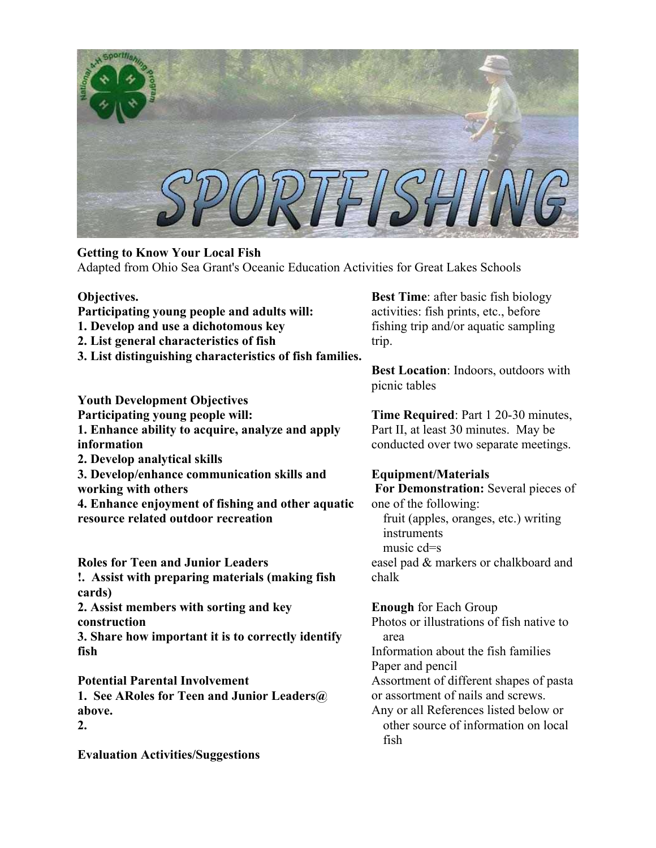

# **Getting to Know Your Local Fish**

Adapted from Ohio Sea Grant's Oceanic Education Activities for Great Lakes Schools

## **Objectives.**

- **Participating young people and adults will:**
- **1. Develop and use a dichotomous key**
- **2. List general characteristics of fish**
- **3. List distinguishing characteristics of fish families.**

**Youth Development Objectives Participating young people will: 1. Enhance ability to acquire, analyze and apply information 2. Develop analytical skills 3. Develop/enhance communication skills and working with others** 

**4. Enhance enjoyment of fishing and other aquatic resource related outdoor recreation**

**Roles for Teen and Junior Leaders** 

**!. Assist with preparing materials (making fish cards)** 

**2. Assist members with sorting and key construction** 

**3. Share how important it is to correctly identify fish** 

**Potential Parental Involvement** 

**1. See ARoles for Teen and Junior Leaders@ above.** 

**2.** 

**Evaluation Activities/Suggestions** 

**Best Time**: after basic fish biology activities: fish prints, etc., before fishing trip and/or aquatic sampling trip.

**Best Location**: Indoors, outdoors with picnic tables

**Time Required**: Part 1 20-30 minutes, Part II, at least 30 minutes. May be conducted over two separate meetings.

## **Equipment/Materials**

 **For Demonstration:** Several pieces of one of the following: fruit (apples, oranges, etc.) writing instruments music cd=s easel pad & markers or chalkboard and chalk

**Enough** for Each Group Photos or illustrations of fish native to area Information about the fish families Paper and pencil Assortment of different shapes of pasta or assortment of nails and screws. Any or all References listed below or other source of information on local fish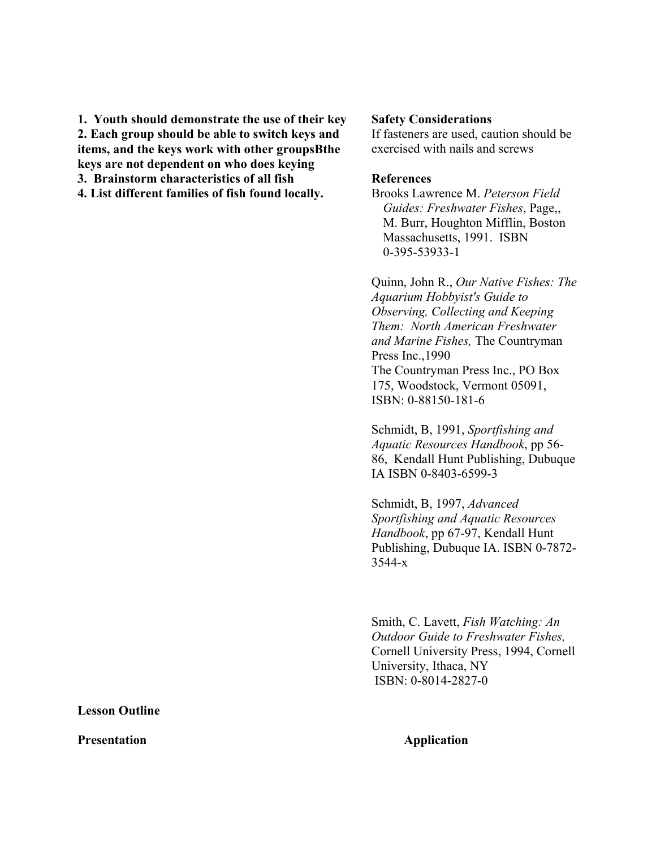**1. Youth should demonstrate the use of their key 2. Each group should be able to switch keys and items, and the keys work with other groupsBthe keys are not dependent on who does keying 3. Brainstorm characteristics of all fish** 

**4. List different families of fish found locally.** 

## **Safety Considerations**

If fasteners are used, caution should be exercised with nails and screws

## **References**

Brooks Lawrence M. *Peterson Field Guides: Freshwater Fishes*, Page,, M. Burr, Houghton Mifflin, Boston Massachusetts, 1991. ISBN 0-395-53933-1

Quinn, John R., *Our Native Fishes: The Aquarium Hobbyist's Guide to Observing, Collecting and Keeping Them: North American Freshwater and Marine Fishes,* The Countryman Press Inc.,1990 The Countryman Press Inc., PO Box 175, Woodstock, Vermont 05091, ISBN: 0-88150-181-6

Schmidt, B, 1991, *Sportfishing and Aquatic Resources Handbook*, pp 56- 86, Kendall Hunt Publishing, Dubuque IA ISBN 0-8403-6599-3

Schmidt, B, 1997, *Advanced Sportfishing and Aquatic Resources Handbook*, pp 67-97, Kendall Hunt Publishing, Dubuque IA. ISBN 0-7872- 3544-x

Smith, C. Lavett, *Fish Watching: An Outdoor Guide to Freshwater Fishes,* Cornell University Press, 1994, Cornell University, Ithaca, NY ISBN: 0-8014-2827-0

**Lesson Outline** 

**Presentation Application**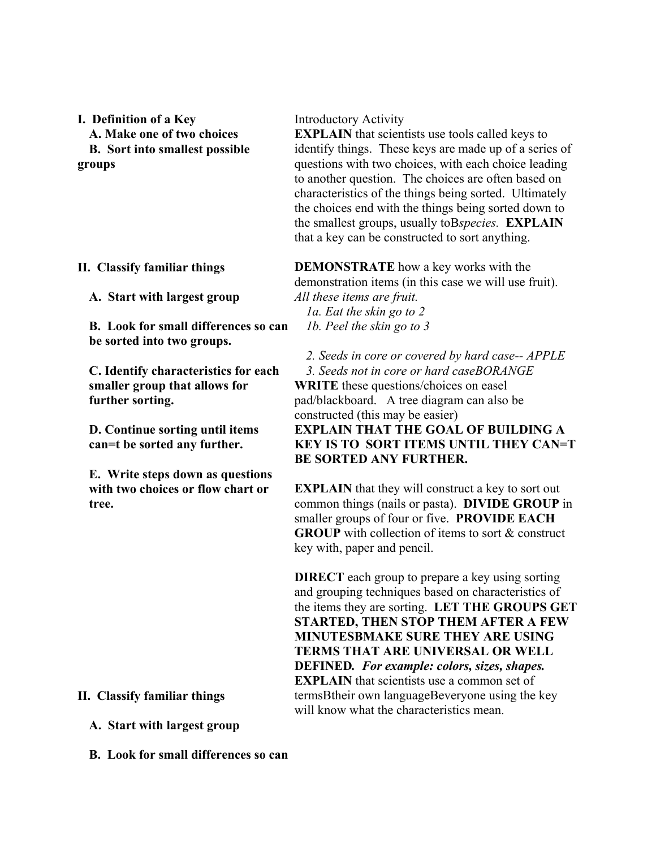**I. Definition of a Key A. Make one of two choices B. Sort into smallest possible groups** 

# **II. Classify familiar things**

**A. Start with largest group** 

**B. Look for small differences so can be sorted into two groups.** 

**C. Identify characteristics for each smaller group that allows for further sorting.** 

**D. Continue sorting until items can=t be sorted any further.** 

**E. Write steps down as questions with two choices or flow chart or tree.** 

# **II. Classify familiar things**

**A. Start with largest group** 

**B. Look for small differences so can** 

## Introductory Activity

**EXPLAIN** that scientists use tools called keys to identify things. These keys are made up of a series of questions with two choices, with each choice leading to another question. The choices are often based on characteristics of the things being sorted. Ultimately the choices end with the things being sorted down to the smallest groups, usually toB*species.* **EXPLAIN** that a key can be constructed to sort anything.

**DEMONSTRATE** how a key works with the demonstration items (in this case we will use fruit). *All these items are fruit.* 

*1a. Eat the skin go to 2 1b. Peel the skin go to 3* 

*2. Seeds in core or covered by hard case-- APPLE* 

*3. Seeds not in core or hard caseBORANGE* **WRITE** these questions/choices on easel pad/blackboard. A tree diagram can also be constructed (this may be easier) **EXPLAIN THAT THE GOAL OF BUILDING A KEY IS TO SORT ITEMS UNTIL THEY CAN=T BE SORTED ANY FURTHER.**

**EXPLAIN** that they will construct a key to sort out common things (nails or pasta). **DIVIDE GROUP** in smaller groups of four or five. **PROVIDE EACH GROUP** with collection of items to sort & construct key with, paper and pencil.

**DIRECT** each group to prepare a key using sorting and grouping techniques based on characteristics of the items they are sorting. **LET THE GROUPS GET STARTED, THEN STOP THEM AFTER A FEW MINUTESBMAKE SURE THEY ARE USING TERMS THAT ARE UNIVERSAL OR WELL DEFINED***. For example: colors, sizes, shapes.*  **EXPLAIN** that scientists use a common set of termsBtheir own languageBeveryone using the key will know what the characteristics mean.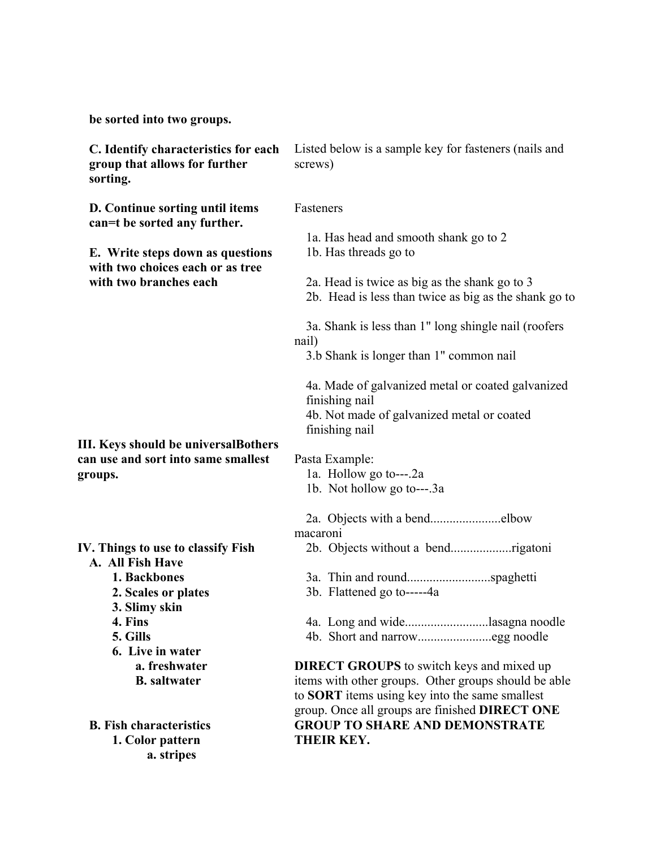**be sorted into two groups.** 

| C. Identify characteristics for each<br>group that allows for further<br>sorting. | Listed below is a sample key for fasteners (nails and<br>screws)                                                                    |
|-----------------------------------------------------------------------------------|-------------------------------------------------------------------------------------------------------------------------------------|
| D. Continue sorting until items<br>can=t be sorted any further.                   | Fasteners                                                                                                                           |
|                                                                                   | 1a. Has head and smooth shank go to 2                                                                                               |
| E. Write steps down as questions<br>with two choices each or as tree              | 1b. Has threads go to                                                                                                               |
| with two branches each                                                            | 2a. Head is twice as big as the shank go to 3<br>2b. Head is less than twice as big as the shank go to                              |
|                                                                                   | 3a. Shank is less than 1" long shingle nail (roofers<br>nail)                                                                       |
|                                                                                   | 3.b Shank is longer than 1" common nail                                                                                             |
|                                                                                   | 4a. Made of galvanized metal or coated galvanized<br>finishing nail<br>4b. Not made of galvanized metal or coated<br>finishing nail |
| III. Keys should be universalBothers                                              |                                                                                                                                     |
| can use and sort into same smallest                                               | Pasta Example:                                                                                                                      |
| groups.                                                                           | 1a. Hollow go to----2a<br>1b. Not hollow go to---.3a                                                                                |
|                                                                                   |                                                                                                                                     |
|                                                                                   |                                                                                                                                     |
|                                                                                   | macaroni                                                                                                                            |
| IV. Things to use to classify Fish                                                |                                                                                                                                     |
| A. All Fish Have                                                                  |                                                                                                                                     |
| 1. Backbones                                                                      |                                                                                                                                     |
| 2. Scales or plates                                                               | 3b. Flattened go to-----4a                                                                                                          |
| 3. Slimy skin<br>4. Fins                                                          |                                                                                                                                     |
| 5. Gills                                                                          | 4a. Long and widelasagna noodle                                                                                                     |
| 6. Live in water                                                                  |                                                                                                                                     |
| a. freshwater                                                                     | <b>DIRECT GROUPS</b> to switch keys and mixed up                                                                                    |
| <b>B.</b> saltwater                                                               | items with other groups. Other groups should be able                                                                                |
|                                                                                   | to <b>SORT</b> items using key into the same smallest                                                                               |
|                                                                                   | group. Once all groups are finished DIRECT ONE                                                                                      |
| <b>B.</b> Fish characteristics                                                    | <b>GROUP TO SHARE AND DEMONSTRATE</b>                                                                                               |
| 1. Color pattern                                                                  | THEIR KEY.                                                                                                                          |
| a. stripes                                                                        |                                                                                                                                     |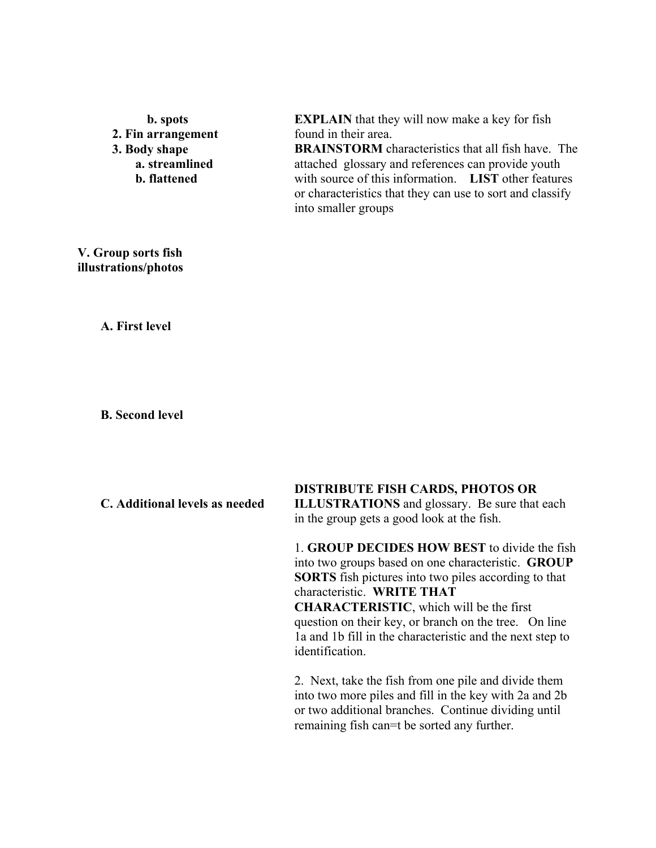**b. spots 2. Fin arrangement 3. Body shape a. streamlined b. flattened** 

**EXPLAIN** that they will now make a key for fish found in their area.

**BRAINSTORM** characteristics that all fish have. The attached glossary and references can provide youth with source of this information. **LIST** other features or characteristics that they can use to sort and classify into smaller groups

## **V. Group sorts fish illustrations/photos**

**A. First level** 

**B. Second level** 

| C. Additional levels as needed | <b>DISTRIBUTE FISH CARDS, PHOTOS OR</b><br><b>ILLUSTRATIONS</b> and glossary. Be sure that each<br>in the group gets a good look at the fish.                                                                                                                                                                                                                                                     |
|--------------------------------|---------------------------------------------------------------------------------------------------------------------------------------------------------------------------------------------------------------------------------------------------------------------------------------------------------------------------------------------------------------------------------------------------|
|                                | 1. GROUP DECIDES HOW BEST to divide the fish<br>into two groups based on one characteristic. <b>GROUP</b><br><b>SORTS</b> fish pictures into two piles according to that<br>characteristic. WRITE THAT<br><b>CHARACTERISTIC, which will be the first</b><br>question on their key, or branch on the tree. On line<br>la and 1b fill in the characteristic and the next step to<br>identification. |
|                                | 2. Next, take the fish from one pile and divide them<br>into two more piles and fill in the key with 2a and 2b<br>or two additional branches. Continue dividing until<br>remaining fish can=t be sorted any further.                                                                                                                                                                              |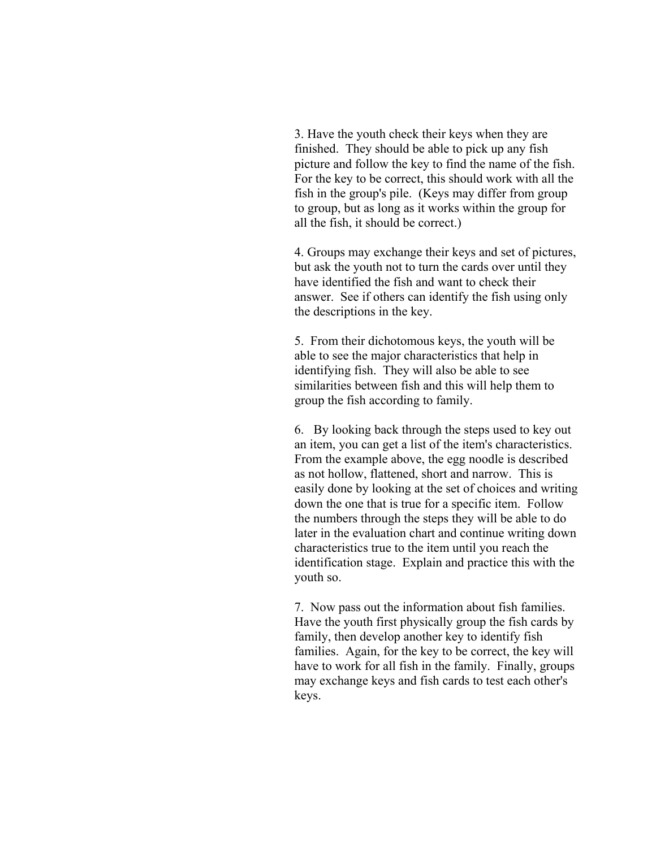3. Have the youth check their keys when they are finished. They should be able to pick up any fish picture and follow the key to find the name of the fish. For the key to be correct, this should work with all the fish in the group's pile. (Keys may differ from group to group, but as long as it works within the group for all the fish, it should be correct.)

4. Groups may exchange their keys and set of pictures, but ask the youth not to turn the cards over until they have identified the fish and want to check their answer. See if others can identify the fish using only the descriptions in the key.

5. From their dichotomous keys, the youth will be able to see the major characteristics that help in identifying fish. They will also be able to see similarities between fish and this will help them to group the fish according to family.

6. By looking back through the steps used to key out an item, you can get a list of the item's characteristics. From the example above, the egg noodle is described as not hollow, flattened, short and narrow. This is easily done by looking at the set of choices and writing down the one that is true for a specific item. Follow the numbers through the steps they will be able to do later in the evaluation chart and continue writing down characteristics true to the item until you reach the identification stage. Explain and practice this with the youth so.

7. Now pass out the information about fish families. Have the youth first physically group the fish cards by family, then develop another key to identify fish families. Again, for the key to be correct, the key will have to work for all fish in the family. Finally, groups may exchange keys and fish cards to test each other's keys.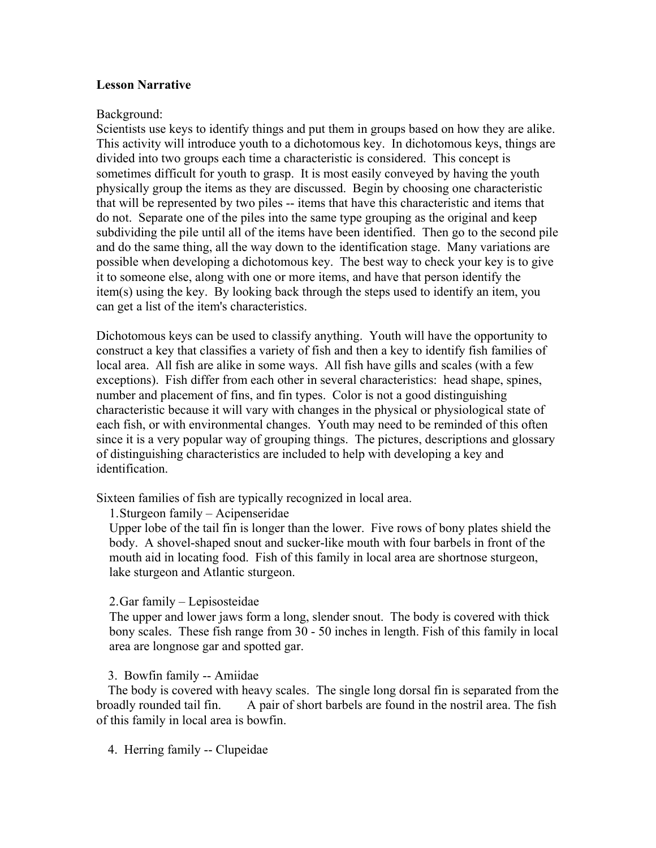## **Lesson Narrative**

## Background:

Scientists use keys to identify things and put them in groups based on how they are alike. This activity will introduce youth to a dichotomous key. In dichotomous keys, things are divided into two groups each time a characteristic is considered. This concept is sometimes difficult for youth to grasp. It is most easily conveyed by having the youth physically group the items as they are discussed. Begin by choosing one characteristic that will be represented by two piles -- items that have this characteristic and items that do not. Separate one of the piles into the same type grouping as the original and keep subdividing the pile until all of the items have been identified. Then go to the second pile and do the same thing, all the way down to the identification stage. Many variations are possible when developing a dichotomous key. The best way to check your key is to give it to someone else, along with one or more items, and have that person identify the item(s) using the key. By looking back through the steps used to identify an item, you can get a list of the item's characteristics.

Dichotomous keys can be used to classify anything. Youth will have the opportunity to construct a key that classifies a variety of fish and then a key to identify fish families of local area. All fish are alike in some ways. All fish have gills and scales (with a few exceptions). Fish differ from each other in several characteristics: head shape, spines, number and placement of fins, and fin types. Color is not a good distinguishing characteristic because it will vary with changes in the physical or physiological state of each fish, or with environmental changes. Youth may need to be reminded of this often since it is a very popular way of grouping things. The pictures, descriptions and glossary of distinguishing characteristics are included to help with developing a key and identification.

Sixteen families of fish are typically recognized in local area.

1. Sturgeon family – Acipenseridae

Upper lobe of the tail fin is longer than the lower. Five rows of bony plates shield the body. A shovel-shaped snout and sucker-like mouth with four barbels in front of the mouth aid in locating food. Fish of this family in local area are shortnose sturgeon, lake sturgeon and Atlantic sturgeon.

## 2. Gar family – Lepisosteidae

The upper and lower jaws form a long, slender snout. The body is covered with thick bony scales. These fish range from 30 - 50 inches in length. Fish of this family in local area are longnose gar and spotted gar.

## 3. Bowfin family -- Amiidae

The body is covered with heavy scales. The single long dorsal fin is separated from the broadly rounded tail fin. A pair of short barbels are found in the nostril area. The fish of this family in local area is bowfin.

4. Herring family -- Clupeidae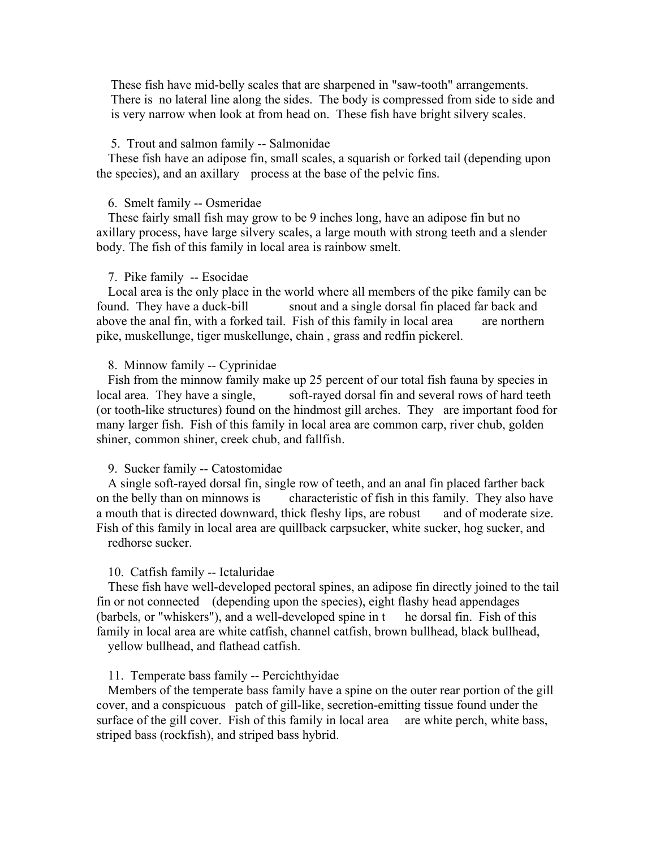These fish have mid-belly scales that are sharpened in "saw-tooth" arrangements. There is no lateral line along the sides. The body is compressed from side to side and is very narrow when look at from head on. These fish have bright silvery scales.

## 5. Trout and salmon family -- Salmonidae

These fish have an adipose fin, small scales, a squarish or forked tail (depending upon the species), and an axillary process at the base of the pelvic fins.

### 6. Smelt family -- Osmeridae

These fairly small fish may grow to be 9 inches long, have an adipose fin but no axillary process, have large silvery scales, a large mouth with strong teeth and a slender body. The fish of this family in local area is rainbow smelt.

#### 7. Pike family -- Esocidae

Local area is the only place in the world where all members of the pike family can be found. They have a duck-bill snout and a single dorsal fin placed far back and above the anal fin, with a forked tail. Fish of this family in local area are northern pike, muskellunge, tiger muskellunge, chain , grass and redfin pickerel.

### 8. Minnow family -- Cyprinidae

Fish from the minnow family make up 25 percent of our total fish fauna by species in local area. They have a single, soft-rayed dorsal fin and several rows of hard teeth (or tooth-like structures) found on the hindmost gill arches. They are important food for many larger fish. Fish of this family in local area are common carp, river chub, golden shiner, common shiner, creek chub, and fallfish.

#### 9. Sucker family -- Catostomidae

A single soft-rayed dorsal fin, single row of teeth, and an anal fin placed farther back on the belly than on minnows is characteristic of fish in this family. They also have a mouth that is directed downward, thick fleshy lips, are robust and of moderate size. Fish of this family in local area are quillback carpsucker, white sucker, hog sucker, and redhorse sucker.

### 10. Catfish family -- Ictaluridae

These fish have well-developed pectoral spines, an adipose fin directly joined to the tail fin or not connected (depending upon the species), eight flashy head appendages (barbels, or "whiskers"), and a well-developed spine in t he dorsal fin. Fish of this family in local area are white catfish, channel catfish, brown bullhead, black bullhead, yellow bullhead, and flathead catfish.

### 11. Temperate bass family -- Percichthyidae

Members of the temperate bass family have a spine on the outer rear portion of the gill cover, and a conspicuous patch of gill-like, secretion-emitting tissue found under the surface of the gill cover. Fish of this family in local area are white perch, white bass, striped bass (rockfish), and striped bass hybrid.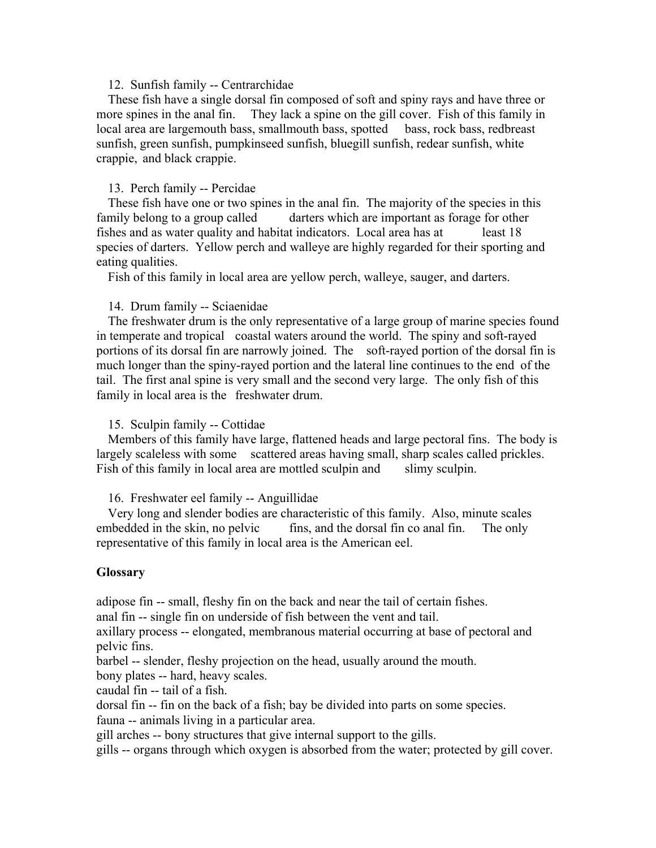## 12. Sunfish family -- Centrarchidae

These fish have a single dorsal fin composed of soft and spiny rays and have three or more spines in the anal fin. They lack a spine on the gill cover. Fish of this family in local area are largemouth bass, smallmouth bass, spotted bass, rock bass, redbreast sunfish, green sunfish, pumpkinseed sunfish, bluegill sunfish, redear sunfish, white crappie, and black crappie.

## 13. Perch family -- Percidae

These fish have one or two spines in the anal fin. The majority of the species in this family belong to a group called darters which are important as forage for other fishes and as water quality and habitat indicators. Local area has at least 18 species of darters. Yellow perch and walleye are highly regarded for their sporting and eating qualities.

Fish of this family in local area are yellow perch, walleye, sauger, and darters.

### 14. Drum family -- Sciaenidae

The freshwater drum is the only representative of a large group of marine species found in temperate and tropical coastal waters around the world. The spiny and soft-rayed portions of its dorsal fin are narrowly joined. The soft-rayed portion of the dorsal fin is much longer than the spiny-rayed portion and the lateral line continues to the end of the tail. The first anal spine is very small and the second very large. The only fish of this family in local area is the freshwater drum.

### 15. Sculpin family -- Cottidae

Members of this family have large, flattened heads and large pectoral fins. The body is largely scaleless with some scattered areas having small, sharp scales called prickles. Fish of this family in local area are mottled sculpin and slimy sculpin.

#### 16. Freshwater eel family -- Anguillidae

Very long and slender bodies are characteristic of this family. Also, minute scales embedded in the skin, no pelvic fins, and the dorsal fin co anal fin. The only representative of this family in local area is the American eel.

## **Glossary**

adipose fin -- small, fleshy fin on the back and near the tail of certain fishes.

anal fin -- single fin on underside of fish between the vent and tail.

axillary process -- elongated, membranous material occurring at base of pectoral and pelvic fins.

barbel -- slender, fleshy projection on the head, usually around the mouth.

bony plates -- hard, heavy scales.

caudal fin -- tail of a fish.

dorsal fin -- fin on the back of a fish; bay be divided into parts on some species.

fauna -- animals living in a particular area.

gill arches -- bony structures that give internal support to the gills.

gills -- organs through which oxygen is absorbed from the water; protected by gill cover.